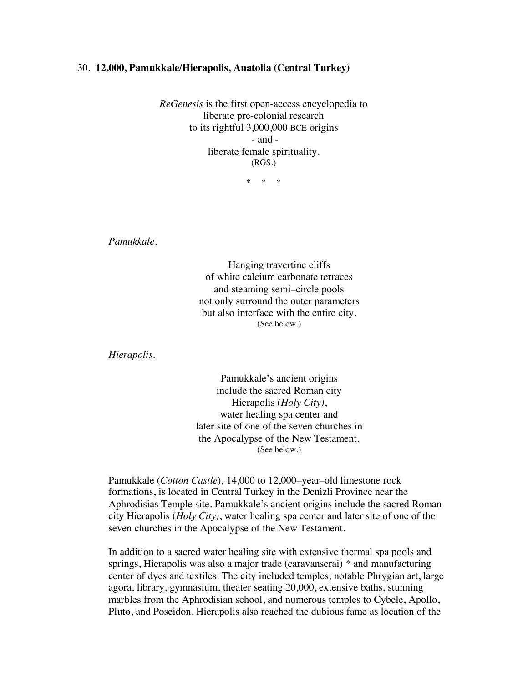## 30. **12,000, Pamukkale/Hierapolis, Anatolia (Central Turkey)**

*ReGenesis* is the first open-access encyclopedia to liberate pre-colonial research to its rightful 3,000,000 BCE origins - and liberate female spirituality. (RGS.)

\* \* \*

*Pamukkale.*

Hanging travertine cliffs of white calcium carbonate terraces and steaming semi–circle pools not only surround the outer parameters but also interface with the entire city. (See below.)

*Hierapolis.*

Pamukkale's ancient origins include the sacred Roman city Hierapolis (*Holy City)*, water healing spa center and later site of one of the seven churches in the Apocalypse of the New Testament. (See below.)

Pamukkale (*Cotton Castle*), 14,000 to 12,000–year–old limestone rock formations, is located in Central Turkey in the Denizli Province near the Aphrodisias Temple site. Pamukkale's ancient origins include the sacred Roman city Hierapolis (*Holy City)*, water healing spa center and later site of one of the seven churches in the Apocalypse of the New Testament.

In addition to a sacred water healing site with extensive thermal spa pools and springs, Hierapolis was also a major trade (caravanserai) \* and manufacturing center of dyes and textiles. The city included temples, notable Phrygian art, large agora, library, gymnasium, theater seating 20,000, extensive baths, stunning marbles from the Aphrodisian school, and numerous temples to Cybele, Apollo, Pluto, and Poseidon. Hierapolis also reached the dubious fame as location of the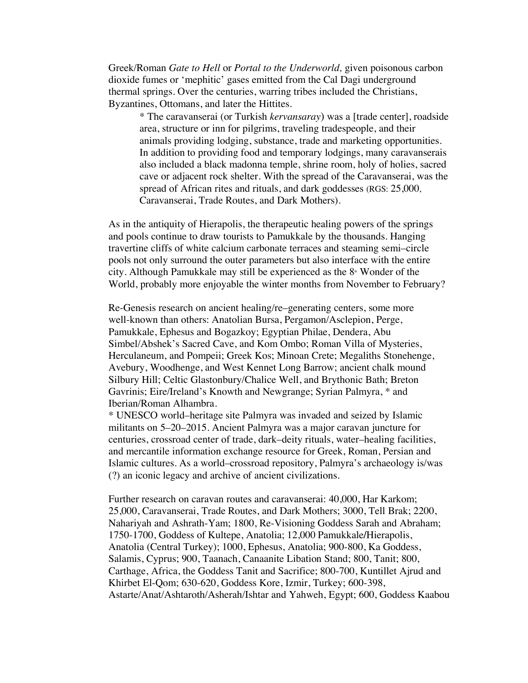Greek/Roman *Gate to Hell* or *Portal to the Underworld,* given poisonous carbon dioxide fumes or 'mephitic' gases emitted from the Cal Dagi underground thermal springs. Over the centuries, warring tribes included the Christians, Byzantines, Ottomans, and later the Hittites.

\* The caravanserai (or Turkish *kervansaray*) was a [trade center], roadside area, structure or inn for pilgrims, traveling tradespeople, and their animals providing lodging, substance, trade and marketing opportunities. In addition to providing food and temporary lodgings, many caravanserais also included a black madonna temple, shrine room, holy of holies, sacred cave or adjacent rock shelter. With the spread of the Caravanserai, was the spread of African rites and rituals, and dark goddesses (RGS: 25,000, Caravanserai, Trade Routes, and Dark Mothers).

As in the antiquity of Hierapolis, the therapeutic healing powers of the springs and pools continue to draw tourists to Pamukkale by the thousands. Hanging travertine cliffs of white calcium carbonate terraces and steaming semi–circle pools not only surround the outer parameters but also interface with the entire city. Although Pamukkale may still be experienced as the  $8<sup>*</sup>$  Wonder of the World, probably more enjoyable the winter months from November to February?

Re-Genesis research on ancient healing/re–generating centers, some more well-known than others: Anatolian Bursa, Pergamon/Asclepion, Perge, Pamukkale, Ephesus and Bogazkoy; Egyptian Philae, Dendera, Abu Simbel/Abshek's Sacred Cave, and Kom Ombo; Roman Villa of Mysteries, Herculaneum, and Pompeii; Greek Kos; Minoan Crete; Megaliths Stonehenge, Avebury, Woodhenge, and West Kennet Long Barrow; ancient chalk mound Silbury Hill; Celtic Glastonbury/Chalice Well, and Brythonic Bath; Breton Gavrinis; Eire/Ireland's Knowth and Newgrange; Syrian Palmyra, \* and Iberian/Roman Alhambra.

\* UNESCO world–heritage site Palmyra was invaded and seized by Islamic militants on 5–20–2015. Ancient Palmyra was a major caravan juncture for centuries, crossroad center of trade, dark–deity rituals, water–healing facilities, and mercantile information exchange resource for Greek, Roman, Persian and Islamic cultures. As a world–crossroad repository, Palmyra's archaeology is/was (?) an iconic legacy and archive of ancient civilizations.

Further research on caravan routes and caravanserai: 40,000, Har Karkom; 25,000, Caravanserai, Trade Routes, and Dark Mothers; 3000, Tell Brak; 2200, Nahariyah and Ashrath-Yam; 1800, Re-Visioning Goddess Sarah and Abraham; 1750-1700, Goddess of Kultepe, Anatolia; 12,000 Pamukkale*/*Hierapolis, Anatolia (Central Turkey); 1000, Ephesus, Anatolia; 900-800, Ka Goddess, Salamis, Cyprus; 900, Taanach, Canaanite Libation Stand; 800, Tanit; 800, Carthage, Africa, the Goddess Tanit and Sacrifice; 800-700, Kuntillet Ajrud and Khirbet El-Qom; 630-620, Goddess Kore, Izmir, Turkey; 600-398, Astarte/Anat/Ashtaroth/Asherah/Ishtar and Yahweh, Egypt; 600, Goddess Kaabou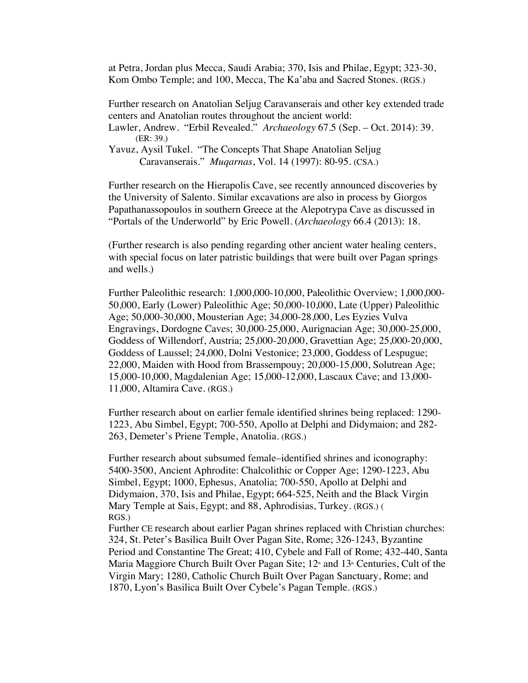at Petra, Jordan plus Mecca, Saudi Arabia; 370, Isis and Philae, Egypt; 323-30, Kom Ombo Temple; and 100, Mecca, The Ka'aba and Sacred Stones. (RGS.)

Further research on Anatolian Seljug Caravanserais and other key extended trade centers and Anatolian routes throughout the ancient world:

Lawler, Andrew. "Erbil Revealed." *Archaeology* 67.5 (Sep. – Oct. 2014): 39. (ER: 39.)

Yavuz, Aysil Tukel. "The Concepts That Shape Anatolian Seljug Caravanserais." *Muqarnas*, Vol. 14 (1997): 80-95. (CSA.)

Further research on the Hierapolis Cave, see recently announced discoveries by the University of Salento. Similar excavations are also in process by Giorgos Papathanassopoulos in southern Greece at the Alepotrypa Cave as discussed in "Portals of the Underworld" by Eric Powell. (*Archaeology* 66.4 (2013): 18.

(Further research is also pending regarding other ancient water healing centers, with special focus on later patristic buildings that were built over Pagan springs and wells.)

Further Paleolithic research: 1,000,000-10,000, Paleolithic Overview; 1,000,000- 50,000, Early (Lower) Paleolithic Age; 50,000-10,000, Late (Upper) Paleolithic Age; 50,000-30,000, Mousterian Age; 34,000-28,000, Les Eyzies Vulva Engravings, Dordogne Caves; 30,000-25,000, Aurignacian Age; 30,000-25,000, Goddess of Willendorf, Austria; 25,000-20,000, Gravettian Age; 25,000-20,000, Goddess of Laussel; 24,000, Dolni Vestonice; 23,000, Goddess of Lespugue; 22,000, Maiden with Hood from Brassempouy; 20,000-15,000, Solutrean Age; 15,000-10,000, Magdalenian Age; 15,000-12,000, Lascaux Cave; and 13,000- 11,000, Altamira Cave. (RGS.)

Further research about on earlier female identified shrines being replaced: 1290- 1223, Abu Simbel, Egypt; 700-550, Apollo at Delphi and Didymaion; and 282- 263, Demeter's Priene Temple, Anatolia. (RGS.)

Further research about subsumed female–identified shrines and iconography: 5400-3500, Ancient Aphrodite: Chalcolithic or Copper Age; 1290-1223, Abu Simbel, Egypt; 1000, Ephesus, Anatolia; 700-550, Apollo at Delphi and Didymaion, 370, Isis and Philae, Egypt; 664-525, Neith and the Black Virgin Mary Temple at Sais, Egypt; and 88, Aphrodisias, Turkey. (RGS.) ( RGS.)

Further CE research about earlier Pagan shrines replaced with Christian churches: 324, St. Peter's Basilica Built Over Pagan Site, Rome; 326-1243, Byzantine Period and Constantine The Great; 410, Cybele and Fall of Rome; 432-440, Santa Maria Maggiore Church Built Over Pagan Site;  $12<sup>*</sup>$  and  $13<sup>*</sup>$  Centuries, Cult of the Virgin Mary; 1280, Catholic Church Built Over Pagan Sanctuary, Rome; and 1870, Lyon's Basilica Built Over Cybele's Pagan Temple. (RGS.)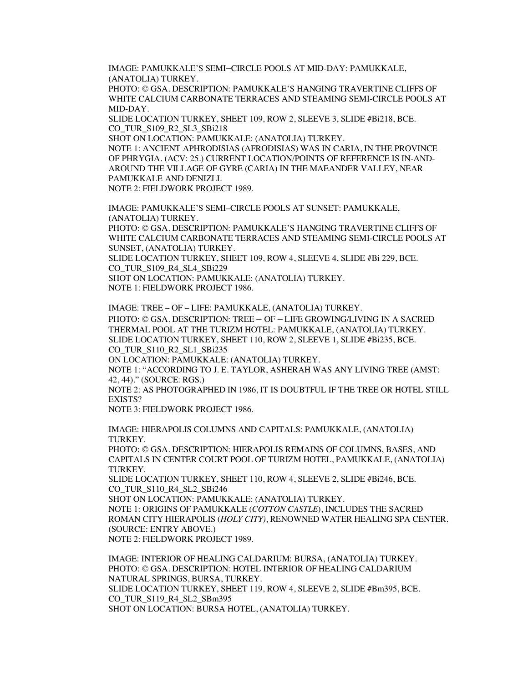IMAGE: PAMUKKALE'S SEMI–CIRCLE POOLS AT MID-DAY: PAMUKKALE, (ANATOLIA) TURKEY.

PHOTO: © GSA. DESCRIPTION: PAMUKKALE'S HANGING TRAVERTINE CLIFFS OF WHITE CALCIUM CARBONATE TERRACES AND STEAMING SEMI-CIRCLE POOLS AT MID-DAY.

SLIDE LOCATION TURKEY, SHEET 109, ROW 2, SLEEVE 3, SLIDE #Bi218, BCE. CO\_TUR\_S109\_R2\_SL3\_SBi218

SHOT ON LOCATION: PAMUKKALE: (ANATOLIA) TURKEY.

NOTE 1: ANCIENT APHRODISIAS (AFRODISIAS) WAS IN CARIA, IN THE PROVINCE OF PHRYGIA. (ACV: 25.) CURRENT LOCATION/POINTS OF REFERENCE IS IN-AND-AROUND THE VILLAGE OF GYRE (CARIA) IN THE MAEANDER VALLEY, NEAR PAMUKKALE AND DENIZLI. NOTE 2: FIELDWORK PROJECT 1989.

IMAGE: PAMUKKALE'S SEMI–CIRCLE POOLS AT SUNSET: PAMUKKALE, (ANATOLIA) TURKEY.

PHOTO: © GSA. DESCRIPTION: PAMUKKALE'S HANGING TRAVERTINE CLIFFS OF WHITE CALCIUM CARBONATE TERRACES AND STEAMING SEMI-CIRCLE POOLS AT SUNSET, (ANATOLIA) TURKEY.

SLIDE LOCATION TURKEY, SHEET 109, ROW 4, SLEEVE 4, SLIDE #Bi 229, BCE. CO\_TUR\_S109\_R4\_SL4\_SBi229 SHOT ON LOCATION: PAMUKKALE: (ANATOLIA) TURKEY.

NOTE 1: FIELDWORK PROJECT 1986.

IMAGE: TREE – OF – LIFE: PAMUKKALE, (ANATOLIA) TURKEY. PHOTO: © GSA. DESCRIPTION: TREE – OF – LIFE GROWING/LIVING IN A SACRED THERMAL POOL AT THE TURIZM HOTEL: PAMUKKALE, (ANATOLIA) TURKEY. SLIDE LOCATION TURKEY, SHEET 110, ROW 2, SLEEVE 1, SLIDE #Bi235, BCE. CO TUR S110 R2 SL1 SBi235

ON LOCATION: PAMUKKALE: (ANATOLIA) TURKEY.

NOTE 1: "ACCORDING TO J. E. TAYLOR, ASHERAH WAS ANY LIVING TREE (AMST: 42, 44)." (SOURCE: RGS.)

NOTE 2: AS PHOTOGRAPHED IN 1986, IT IS DOUBTFUL IF THE TREE OR HOTEL STILL EXISTS?

NOTE 3: FIELDWORK PROJECT 1986.

IMAGE: HIERAPOLIS COLUMNS AND CAPITALS: PAMUKKALE, (ANATOLIA) TURKEY.

PHOTO: © GSA. DESCRIPTION: HIERAPOLIS REMAINS OF COLUMNS, BASES, AND CAPITALS IN CENTER COURT POOL OF TURIZM HOTEL, PAMUKKALE, (ANATOLIA) TURKEY.

SLIDE LOCATION TURKEY, SHEET 110, ROW 4, SLEEVE 2, SLIDE #Bi246, BCE. CO TUR S110 R4 SL2 SBi246

SHOT ON LOCATION: PAMUKKALE: (ANATOLIA) TURKEY. NOTE 1: ORIGINS OF PAMUKKALE (*COTTON CASTLE*), INCLUDES THE SACRED ROMAN CITY HIERAPOLIS (*HOLY CITY)*, RENOWNED WATER HEALING SPA CENTER. (SOURCE: ENTRY ABOVE.) NOTE 2: FIELDWORK PROJECT 1989.

IMAGE: INTERIOR OF HEALING CALDARIUM: BURSA, (ANATOLIA) TURKEY. PHOTO: © GSA. DESCRIPTION: HOTEL INTERIOR OF HEALING CALDARIUM NATURAL SPRINGS, BURSA, TURKEY. SLIDE LOCATION TURKEY, SHEET 119, ROW 4, SLEEVE 2, SLIDE #Bm395, BCE. CO\_TUR\_S119\_R4\_SL2\_SBm395 SHOT ON LOCATION: BURSA HOTEL, (ANATOLIA) TURKEY.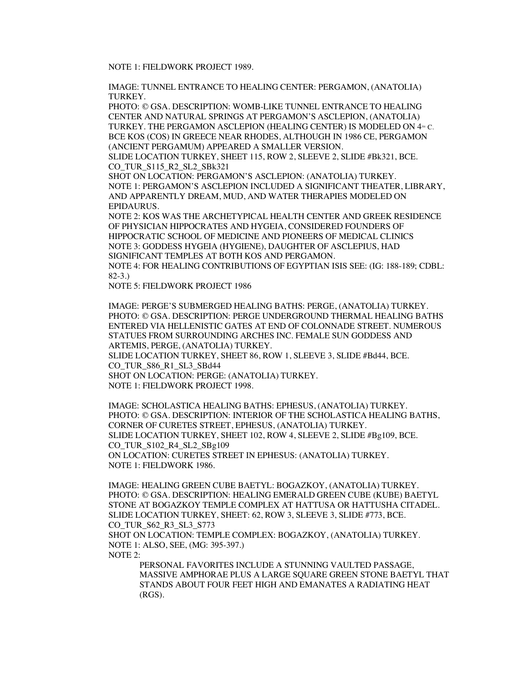NOTE 1: FIELDWORK PROJECT 1989.

IMAGE: TUNNEL ENTRANCE TO HEALING CENTER: PERGAMON, (ANATOLIA) TURKEY.

PHOTO: © GSA. DESCRIPTION: WOMB-LIKE TUNNEL ENTRANCE TO HEALING CENTER AND NATURAL SPRINGS AT PERGAMON'S ASCLEPION, (ANATOLIA) TURKEY. THE PERGAMON ASCLEPION (HEALING CENTER) IS MODELED ON  $4<sup>m</sup>$  C. BCE KOS (COS) IN GREECE NEAR RHODES, ALTHOUGH IN 1986 CE, PERGAMON (ANCIENT PERGAMUM) APPEARED A SMALLER VERSION.

SLIDE LOCATION TURKEY, SHEET 115, ROW 2, SLEEVE 2, SLIDE #Bk321, BCE. CO\_TUR\_S115\_R2\_SL2\_SBk321

SHOT ON LOCATION: PERGAMON'S ASCLEPION: (ANATOLIA) TURKEY. NOTE 1: PERGAMON'S ASCLEPION INCLUDED A SIGNIFICANT THEATER, LIBRARY, AND APPARENTLY DREAM, MUD, AND WATER THERAPIES MODELED ON EPIDAURUS.

NOTE 2: KOS WAS THE ARCHETYPICAL HEALTH CENTER AND GREEK RESIDENCE OF PHYSICIAN HIPPOCRATES AND HYGEIA, CONSIDERED FOUNDERS OF HIPPOCRATIC SCHOOL OF MEDICINE AND PIONEERS OF MEDICAL CLINICS NOTE 3: GODDESS HYGEIA (HYGIENE), DAUGHTER OF ASCLEPIUS, HAD SIGNIFICANT TEMPLES AT BOTH KOS AND PERGAMON.

NOTE 4: FOR HEALING CONTRIBUTIONS OF EGYPTIAN ISIS SEE: (IG: 188-189; CDBL: 82-3.)

NOTE 5: FIELDWORK PROJECT 1986

IMAGE: PERGE'S SUBMERGED HEALING BATHS: PERGE, (ANATOLIA) TURKEY. PHOTO: © GSA. DESCRIPTION: PERGE UNDERGROUND THERMAL HEALING BATHS ENTERED VIA HELLENISTIC GATES AT END OF COLONNADE STREET. NUMEROUS STATUES FROM SURROUNDING ARCHES INC. FEMALE SUN GODDESS AND ARTEMIS, PERGE, (ANATOLIA) TURKEY. SLIDE LOCATION TURKEY, SHEET 86, ROW 1, SLEEVE 3, SLIDE #Bd44, BCE. CO\_TUR\_S86\_R1\_SL3\_SBd44 SHOT ON LOCATION: PERGE: (ANATOLIA) TURKEY. NOTE 1: FIELDWORK PROJECT 1998.

IMAGE: SCHOLASTICA HEALING BATHS: EPHESUS, (ANATOLIA) TURKEY. PHOTO: © GSA. DESCRIPTION: INTERIOR OF THE SCHOLASTICA HEALING BATHS, CORNER OF CURETES STREET, EPHESUS, (ANATOLIA) TURKEY. SLIDE LOCATION TURKEY, SHEET 102, ROW 4, SLEEVE 2, SLIDE #Bg109, BCE. CO\_TUR\_S102\_R4\_SL2\_SBg109 ON LOCATION: CURETES STREET IN EPHESUS: (ANATOLIA) TURKEY. NOTE 1: FIELDWORK 1986.

IMAGE: HEALING GREEN CUBE BAETYL: BOGAZKOY, (ANATOLIA) TURKEY. PHOTO: © GSA. DESCRIPTION: HEALING EMERALD GREEN CUBE (KUBE) BAETYL STONE AT BOGAZKOY TEMPLE COMPLEX AT HATTUSA OR HATTUSHA CITADEL. SLIDE LOCATION TURKEY, SHEET: 62, ROW 3, SLEEVE 3, SLIDE #773, BCE. CO\_TUR\_S62\_R3\_SL3\_S773

SHOT ON LOCATION: TEMPLE COMPLEX: BOGAZKOY, (ANATOLIA) TURKEY. NOTE 1: ALSO, SEE, (MG: 395-397.)

NOTE 2:

PERSONAL FAVORITES INCLUDE A STUNNING VAULTED PASSAGE, MASSIVE AMPHORAE PLUS A LARGE SQUARE GREEN STONE BAETYL THAT STANDS ABOUT FOUR FEET HIGH AND EMANATES A RADIATING HEAT (RGS).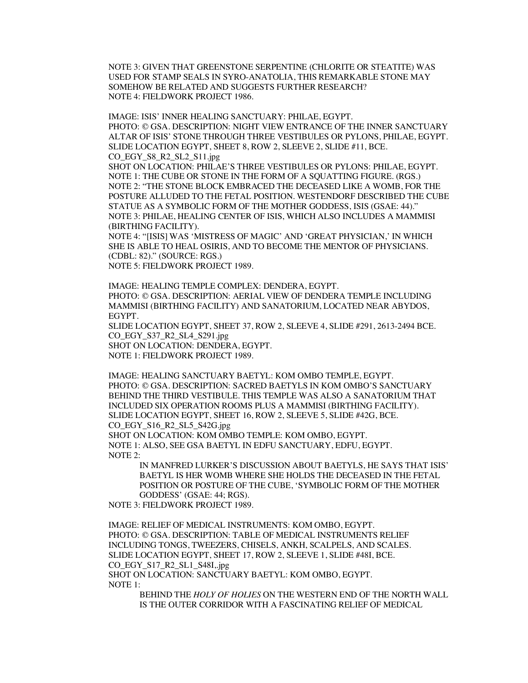NOTE 3: GIVEN THAT GREENSTONE SERPENTINE (CHLORITE OR STEATITE) WAS USED FOR STAMP SEALS IN SYRO-ANATOLIA, THIS REMARKABLE STONE MAY SOMEHOW BE RELATED AND SUGGESTS FURTHER RESEARCH? NOTE 4: FIELDWORK PROJECT 1986.

IMAGE: ISIS' INNER HEALING SANCTUARY: PHILAE, EGYPT. PHOTO: © GSA. DESCRIPTION: NIGHT VIEW ENTRANCE OF THE INNER SANCTUARY ALTAR OF ISIS' STONE THROUGH THREE VESTIBULES OR PYLONS, PHILAE, EGYPT. SLIDE LOCATION EGYPT, SHEET 8, ROW 2, SLEEVE 2, SLIDE #11, BCE. CO\_EGY\_S8\_R2\_SL2\_S11.jpg

SHOT ON LOCATION: PHILAE'S THREE VESTIBULES OR PYLONS: PHILAE, EGYPT. NOTE 1: THE CUBE OR STONE IN THE FORM OF A SQUATTING FIGURE. (RGS.) NOTE 2: "THE STONE BLOCK EMBRACED THE DECEASED LIKE A WOMB, FOR THE POSTURE ALLUDED TO THE FETAL POSITION. WESTENDORF DESCRIBED THE CUBE STATUE AS A SYMBOLIC FORM OF THE MOTHER GODDESS, ISIS (GSAE: 44)." NOTE 3: PHILAE, HEALING CENTER OF ISIS, WHICH ALSO INCLUDES A MAMMISI (BIRTHING FACILITY).

NOTE 4: "[ISIS] WAS 'MISTRESS OF MAGIC' AND 'GREAT PHYSICIAN,' IN WHICH SHE IS ABLE TO HEAL OSIRIS, AND TO BECOME THE MENTOR OF PHYSICIANS. (CDBL: 82)." (SOURCE: RGS.)

NOTE 5: FIELDWORK PROJECT 1989.

IMAGE: HEALING TEMPLE COMPLEX: DENDERA, EGYPT. PHOTO: © GSA. DESCRIPTION: AERIAL VIEW OF DENDERA TEMPLE INCLUDING MAMMISI (BIRTHING FACILITY) AND SANATORIUM, LOCATED NEAR ABYDOS, EGYPT. SLIDE LOCATION EGYPT, SHEET 37, ROW 2, SLEEVE 4, SLIDE #291, 2613-2494 BCE. CO\_EGY\_S37\_R2\_SL4\_S291.jpg

SHOT ON LOCATION: DENDERA, EGYPT.

NOTE 1: FIELDWORK PROJECT 1989.

IMAGE: HEALING SANCTUARY BAETYL: KOM OMBO TEMPLE, EGYPT. PHOTO: © GSA. DESCRIPTION: SACRED BAETYLS IN KOM OMBO'S SANCTUARY BEHIND THE THIRD VESTIBULE. THIS TEMPLE WAS ALSO A SANATORIUM THAT INCLUDED SIX OPERATION ROOMS PLUS A MAMMISI (BIRTHING FACILITY). SLIDE LOCATION EGYPT, SHEET 16, ROW 2, SLEEVE 5, SLIDE #42G, BCE. CO\_EGY\_S16\_R2\_SL5\_S42G.jpg

SHOT ON LOCATION: KOM OMBO TEMPLE: KOM OMBO, EGYPT. NOTE 1: ALSO, SEE GSA BAETYL IN EDFU SANCTUARY, EDFU, EGYPT. NOTE 2:

> IN MANFRED LURKER'S DISCUSSION ABOUT BAETYLS, HE SAYS THAT ISIS' BAETYL IS HER WOMB WHERE SHE HOLDS THE DECEASED IN THE FETAL POSITION OR POSTURE OF THE CUBE, 'SYMBOLIC FORM OF THE MOTHER GODDESS' (GSAE: 44; RGS).

NOTE 3: FIELDWORK PROJECT 1989.

IMAGE: RELIEF OF MEDICAL INSTRUMENTS: KOM OMBO, EGYPT. PHOTO: © GSA. DESCRIPTION: TABLE OF MEDICAL INSTRUMENTS RELIEF INCLUDING TONGS, TWEEZERS, CHISELS, ANKH, SCALPELS, AND SCALES. SLIDE LOCATION EGYPT, SHEET 17, ROW 2, SLEEVE 1, SLIDE #48I, BCE. CO\_EGY\_S17\_R2\_SL1\_S48I,.jpg SHOT ON LOCATION: SANCTUARY BAETYL: KOM OMBO, EGYPT. NOTE 1:

BEHIND THE *HOLY OF HOLIES* ON THE WESTERN END OF THE NORTH WALL IS THE OUTER CORRIDOR WITH A FASCINATING RELIEF OF MEDICAL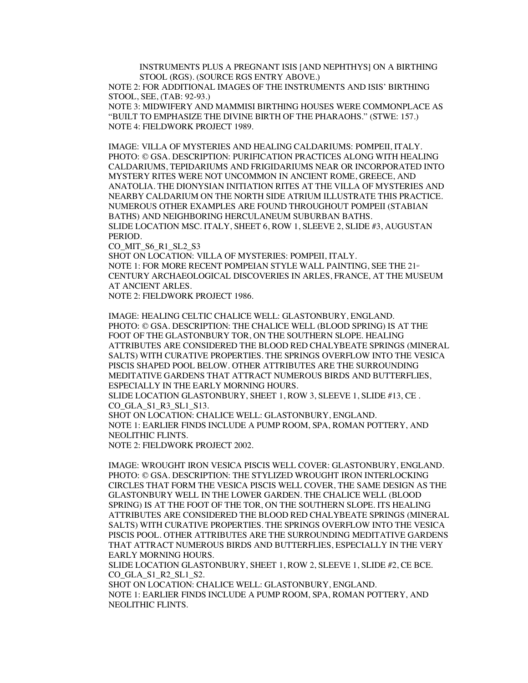INSTRUMENTS PLUS A PREGNANT ISIS [AND NEPHTHYS] ON A BIRTHING STOOL (RGS). (SOURCE RGS ENTRY ABOVE.)

NOTE 2: FOR ADDITIONAL IMAGES OF THE INSTRUMENTS AND ISIS' BIRTHING STOOL, SEE, (TAB: 92-93.)

NOTE 3: MIDWIFERY AND MAMMISI BIRTHING HOUSES WERE COMMONPLACE AS "BUILT TO EMPHASIZE THE DIVINE BIRTH OF THE PHARAOHS." (STWE: 157.) NOTE 4: FIELDWORK PROJECT 1989.

IMAGE: VILLA OF MYSTERIES AND HEALING CALDARIUMS: POMPEII, ITALY. PHOTO: © GSA. DESCRIPTION: PURIFICATION PRACTICES ALONG WITH HEALING CALDARIUMS, TEPIDARIUMS AND FRIGIDARIUMS NEAR OR INCORPORATED INTO MYSTERY RITES WERE NOT UNCOMMON IN ANCIENT ROME, GREECE, AND ANATOLIA. THE DIONYSIAN INITIATION RITES AT THE VILLA OF MYSTERIES AND NEARBY CALDARIUM ON THE NORTH SIDE ATRIUM ILLUSTRATE THIS PRACTICE. NUMEROUS OTHER EXAMPLES ARE FOUND THROUGHOUT POMPEII (STABIAN BATHS) AND NEIGHBORING HERCULANEUM SUBURBAN BATHS. SLIDE LOCATION MSC. ITALY, SHEET 6, ROW 1, SLEEVE 2, SLIDE #3, AUGUSTAN PERIOD.

CO\_MIT\_S6\_R1\_SL2\_S3

SHOT ON LOCATION: VILLA OF MYSTERIES: POMPEII, ITALY. NOTE 1: FOR MORE RECENT POMPEIAN STYLE WALL PAINTING, SEE THE  $21<sup>st</sup>$ CENTURY ARCHAEOLOGICAL DISCOVERIES IN ARLES, FRANCE, AT THE MUSEUM AT ANCIENT ARLES.

NOTE 2: FIELDWORK PROJECT 1986.

IMAGE: HEALING CELTIC CHALICE WELL: GLASTONBURY, ENGLAND. PHOTO: © GSA. DESCRIPTION: THE CHALICE WELL (BLOOD SPRING) IS AT THE FOOT OF THE GLASTONBURY TOR, ON THE SOUTHERN SLOPE. HEALING ATTRIBUTES ARE CONSIDERED THE BLOOD RED CHALYBEATE SPRINGS (MINERAL SALTS) WITH CURATIVE PROPERTIES. THE SPRINGS OVERFLOW INTO THE VESICA PISCIS SHAPED POOL BELOW. OTHER ATTRIBUTES ARE THE SURROUNDING MEDITATIVE GARDENS THAT ATTRACT NUMEROUS BIRDS AND BUTTERFLIES, ESPECIALLY IN THE EARLY MORNING HOURS.

SLIDE LOCATION GLASTONBURY, SHEET 1, ROW 3, SLEEVE 1, SLIDE #13, CE . CO\_GLA\_S1\_R3\_SL1\_S13.

SHOT ON LOCATION: CHALICE WELL: GLASTONBURY, ENGLAND. NOTE 1: EARLIER FINDS INCLUDE A PUMP ROOM, SPA, ROMAN POTTERY, AND NEOLITHIC FLINTS.

NOTE 2: FIELDWORK PROJECT 2002.

IMAGE: WROUGHT IRON VESICA PISCIS WELL COVER: GLASTONBURY, ENGLAND. PHOTO: © GSA. DESCRIPTION: THE STYLIZED WROUGHT IRON INTERLOCKING CIRCLES THAT FORM THE VESICA PISCIS WELL COVER, THE SAME DESIGN AS THE GLASTONBURY WELL IN THE LOWER GARDEN. THE CHALICE WELL (BLOOD SPRING) IS AT THE FOOT OF THE TOR, ON THE SOUTHERN SLOPE. ITS HEALING ATTRIBUTES ARE CONSIDERED THE BLOOD RED CHALYBEATE SPRINGS (MINERAL SALTS) WITH CURATIVE PROPERTIES. THE SPRINGS OVERFLOW INTO THE VESICA PISCIS POOL. OTHER ATTRIBUTES ARE THE SURROUNDING MEDITATIVE GARDENS THAT ATTRACT NUMEROUS BIRDS AND BUTTERFLIES, ESPECIALLY IN THE VERY EARLY MORNING HOURS.

SLIDE LOCATION GLASTONBURY, SHEET 1, ROW 2, SLEEVE 1, SLIDE #2, CE BCE. CO GLA S1 R2 SL1 S2.

SHOT ON LOCATION: CHALICE WELL: GLASTONBURY, ENGLAND. NOTE 1: EARLIER FINDS INCLUDE A PUMP ROOM, SPA, ROMAN POTTERY, AND NEOLITHIC FLINTS.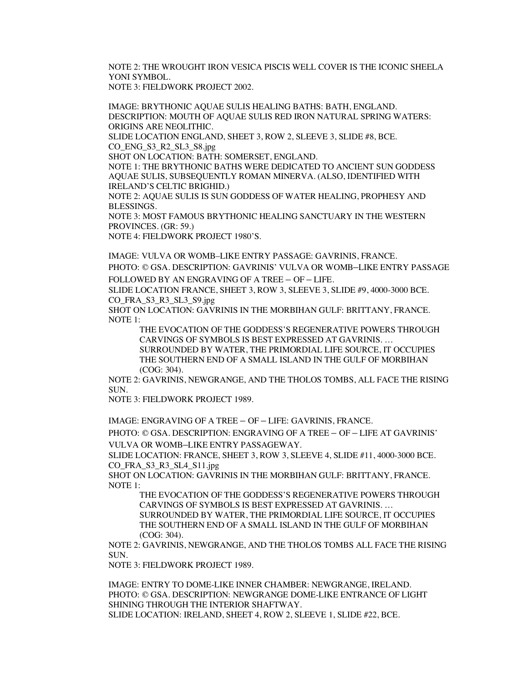NOTE 2: THE WROUGHT IRON VESICA PISCIS WELL COVER IS THE ICONIC SHEELA YONI SYMBOL. NOTE 3: FIELDWORK PROJECT 2002.

IMAGE: BRYTHONIC AQUAE SULIS HEALING BATHS: BATH, ENGLAND. DESCRIPTION: MOUTH OF AQUAE SULIS RED IRON NATURAL SPRING WATERS: ORIGINS ARE NEOLITHIC.

SLIDE LOCATION ENGLAND, SHEET 3, ROW 2, SLEEVE 3, SLIDE #8, BCE. CO\_ENG\_S3\_R2\_SL3\_S8.jpg

SHOT ON LOCATION: BATH: SOMERSET, ENGLAND.

NOTE 1: THE BRYTHONIC BATHS WERE DEDICATED TO ANCIENT SUN GODDESS AQUAE SULIS, SUBSEQUENTLY ROMAN MINERVA. (ALSO, IDENTIFIED WITH IRELAND'S CELTIC BRIGHID.)

NOTE 2: AQUAE SULIS IS SUN GODDESS OF WATER HEALING, PROPHESY AND BLESSINGS.

NOTE 3: MOST FAMOUS BRYTHONIC HEALING SANCTUARY IN THE WESTERN PROVINCES. (GR: 59.)

NOTE 4: FIELDWORK PROJECT 1980'S.

IMAGE: VULVA OR WOMB–LIKE ENTRY PASSAGE: GAVRINIS, FRANCE. PHOTO: © GSA. DESCRIPTION: GAVRINIS' VULVA OR WOMB–LIKE ENTRY PASSAGE FOLLOWED BY AN ENGRAVING OF A TREE – OF – LIFE.

SLIDE LOCATION FRANCE, SHEET 3, ROW 3, SLEEVE 3, SLIDE #9, 4000-3000 BCE. CO\_FRA\_S3\_R3\_SL3\_S9.jpg

SHOT ON LOCATION: GAVRINIS IN THE MORBIHAN GULF: BRITTANY, FRANCE. NOTE 1:

THE EVOCATION OF THE GODDESS'S REGENERATIVE POWERS THROUGH CARVINGS OF SYMBOLS IS BEST EXPRESSED AT GAVRINIS. … SURROUNDED BY WATER, THE PRIMORDIAL LIFE SOURCE, IT OCCUPIES THE SOUTHERN END OF A SMALL ISLAND IN THE GULF OF MORBIHAN (COG: 304).

NOTE 2: GAVRINIS, NEWGRANGE, AND THE THOLOS TOMBS, ALL FACE THE RISING SUN.

NOTE 3: FIELDWORK PROJECT 1989.

IMAGE: ENGRAVING OF A TREE – OF – LIFE: GAVRINIS, FRANCE.

PHOTO: © GSA. DESCRIPTION: ENGRAVING OF A TREE – OF – LIFE AT GAVRINIS' VULVA OR WOMB–LIKE ENTRY PASSAGEWAY.

SLIDE LOCATION: FRANCE, SHEET 3, ROW 3, SLEEVE 4, SLIDE #11, 4000-3000 BCE. CO\_FRA\_S3\_R3\_SL4\_S11.jpg

SHOT ON LOCATION: GAVRINIS IN THE MORBIHAN GULF: BRITTANY, FRANCE. NOTE 1:

THE EVOCATION OF THE GODDESS'S REGENERATIVE POWERS THROUGH CARVINGS OF SYMBOLS IS BEST EXPRESSED AT GAVRINIS. …

SURROUNDED BY WATER, THE PRIMORDIAL LIFE SOURCE, IT OCCUPIES THE SOUTHERN END OF A SMALL ISLAND IN THE GULF OF MORBIHAN (COG: 304).

NOTE 2: GAVRINIS, NEWGRANGE, AND THE THOLOS TOMBS ALL FACE THE RISING SUN.

NOTE 3: FIELDWORK PROJECT 1989.

IMAGE: ENTRY TO DOME-LIKE INNER CHAMBER: NEWGRANGE, IRELAND. PHOTO: © GSA. DESCRIPTION: NEWGRANGE DOME-LIKE ENTRANCE OF LIGHT SHINING THROUGH THE INTERIOR SHAFTWAY. SLIDE LOCATION: IRELAND, SHEET 4, ROW 2, SLEEVE 1, SLIDE #22, BCE.